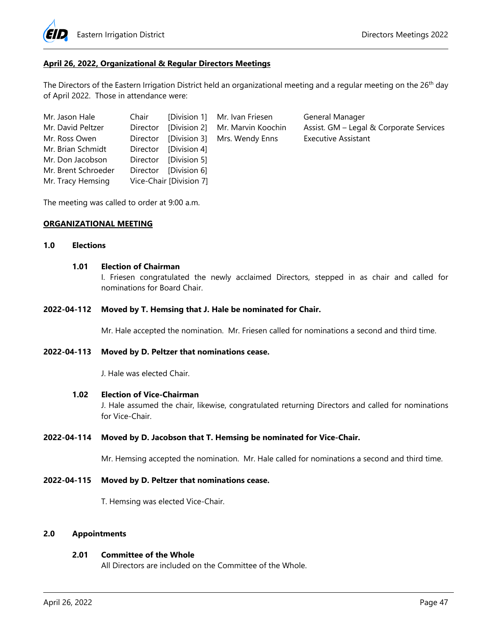

#### **April 26, 2022, Organizational & Regular Directors Meetings**

The Directors of the Eastern Irrigation District held an organizational meeting and a regular meeting on the 26<sup>th</sup> day of April 2022. Those in attendance were:

| Mr. Jason Hale      | Chair    |                         | [Division 1] Mr. Ivan Friesen            | General Manager                         |
|---------------------|----------|-------------------------|------------------------------------------|-----------------------------------------|
| Mr. David Peltzer   |          |                         | Director [Division 2] Mr. Marvin Koochin | Assist. GM - Legal & Corporate Services |
| Mr. Ross Owen       |          |                         | Director [Division 3] Mrs. Wendy Enns    | <b>Executive Assistant</b>              |
| Mr. Brian Schmidt   | Director | [Division 4]            |                                          |                                         |
| Mr. Don Jacobson    | Director | [Division 5]            |                                          |                                         |
| Mr. Brent Schroeder | Director | [Division 6]            |                                          |                                         |
| Mr. Tracy Hemsing   |          | Vice-Chair [Division 7] |                                          |                                         |

The meeting was called to order at 9:00 a.m.

#### **ORGANIZATIONAL MEETING**

#### **1.0 Elections**

#### **1.01 Election of Chairman**

I. Friesen congratulated the newly acclaimed Directors, stepped in as chair and called for nominations for Board Chair.

#### **2022-04-112 Moved by T. Hemsing that J. Hale be nominated for Chair.**

Mr. Hale accepted the nomination. Mr. Friesen called for nominations a second and third time.

#### **2022-04-113 Moved by D. Peltzer that nominations cease.**

J. Hale was elected Chair.

#### **1.02 Election of Vice-Chairman**

J. Hale assumed the chair, likewise, congratulated returning Directors and called for nominations for Vice-Chair.

#### **2022-04-114 Moved by D. Jacobson that T. Hemsing be nominated for Vice-Chair.**

Mr. Hemsing accepted the nomination. Mr. Hale called for nominations a second and third time.

#### **2022-04-115 Moved by D. Peltzer that nominations cease.**

T. Hemsing was elected Vice-Chair.

#### **2.0 Appointments**

#### **2.01 Committee of the Whole**

All Directors are included on the Committee of the Whole.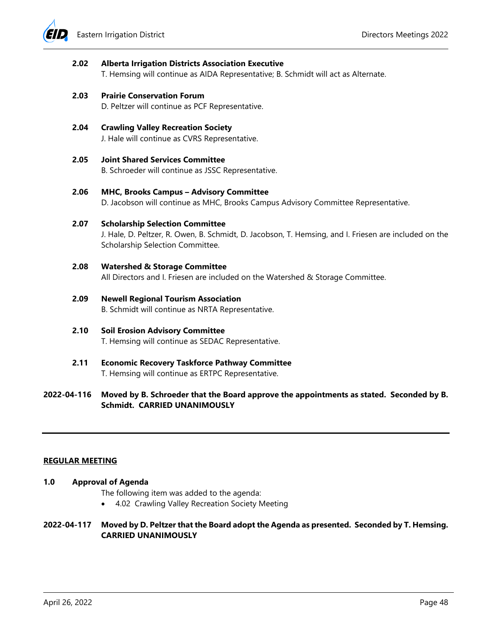

#### **2.02 Alberta Irrigation Districts Association Executive**

T. Hemsing will continue as AIDA Representative; B. Schmidt will act as Alternate.

#### **2.03 Prairie Conservation Forum**

D. Peltzer will continue as PCF Representative.

# **2.04 Crawling Valley Recreation Society**

J. Hale will continue as CVRS Representative.

**2.05 Joint Shared Services Committee**

B. Schroeder will continue as JSSC Representative.

### **2.06 MHC, Brooks Campus – Advisory Committee**

D. Jacobson will continue as MHC, Brooks Campus Advisory Committee Representative.

### **2.07 Scholarship Selection Committee**

J. Hale, D. Peltzer, R. Owen, B. Schmidt, D. Jacobson, T. Hemsing, and I. Friesen are included on the Scholarship Selection Committee.

# **2.08 Watershed & Storage Committee**

All Directors and I. Friesen are included on the Watershed & Storage Committee.

# **2.09 Newell Regional Tourism Association**

B. Schmidt will continue as NRTA Representative.

# **2.10 Soil Erosion Advisory Committee**

T. Hemsing will continue as SEDAC Representative.

**2.11 Economic Recovery Taskforce Pathway Committee**  T. Hemsing will continue as ERTPC Representative.

# **2022-04-116 Moved by B. Schroeder that the Board approve the appointments as stated. Seconded by B. Schmidt. CARRIED UNANIMOUSLY**

### **REGULAR MEETING**

### **1.0 Approval of Agenda**

The following item was added to the agenda:

4.02 Crawling Valley Recreation Society Meeting

# **2022-04-117 Moved by D. Peltzer that the Board adopt the Agenda as presented. Seconded by T. Hemsing. CARRIED UNANIMOUSLY**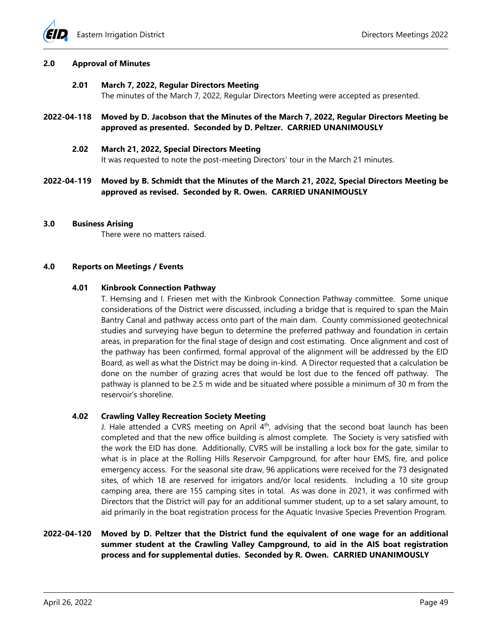

#### **2.0 Approval of Minutes**

#### **2.01 March 7, 2022, Regular Directors Meeting**

The minutes of the March 7, 2022, Regular Directors Meeting were accepted as presented.

**2022-04-118 Moved by D. Jacobson that the Minutes of the March 7, 2022, Regular Directors Meeting be approved as presented. Seconded by D. Peltzer. CARRIED UNANIMOUSLY** 

#### **2.02 March 21, 2022, Special Directors Meeting**

It was requested to note the post-meeting Directors' tour in the March 21 minutes.

**2022-04-119 Moved by B. Schmidt that the Minutes of the March 21, 2022, Special Directors Meeting be approved as revised. Seconded by R. Owen. CARRIED UNANIMOUSLY**

#### **3.0 Business Arising**

There were no matters raised.

#### **4.0 Reports on Meetings / Events**

#### **4.01 Kinbrook Connection Pathway**

T. Hemsing and I. Friesen met with the Kinbrook Connection Pathway committee. Some unique considerations of the District were discussed, including a bridge that is required to span the Main Bantry Canal and pathway access onto part of the main dam. County commissioned geotechnical studies and surveying have begun to determine the preferred pathway and foundation in certain areas, in preparation for the final stage of design and cost estimating. Once alignment and cost of the pathway has been confirmed, formal approval of the alignment will be addressed by the EID Board, as well as what the District may be doing in-kind. A Director requested that a calculation be done on the number of grazing acres that would be lost due to the fenced off pathway. The pathway is planned to be 2.5 m wide and be situated where possible a minimum of 30 m from the reservoir's shoreline.

### **4.02 Crawling Valley Recreation Society Meeting**

J. Hale attended a CVRS meeting on April  $4<sup>th</sup>$ , advising that the second boat launch has been completed and that the new office building is almost complete. The Society is very satisfied with the work the EID has done. Additionally, CVRS will be installing a lock box for the gate, similar to what is in place at the Rolling Hills Reservoir Campground, for after hour EMS, fire, and police emergency access. For the seasonal site draw, 96 applications were received for the 73 designated sites, of which 18 are reserved for irrigators and/or local residents. Including a 10 site group camping area, there are 155 camping sites in total. As was done in 2021, it was confirmed with Directors that the District will pay for an additional summer student, up to a set salary amount, to aid primarily in the boat registration process for the Aquatic Invasive Species Prevention Program.

# **2022-04-120 Moved by D. Peltzer that the District fund the equivalent of one wage for an additional summer student at the Crawling Valley Campground, to aid in the AIS boat registration process and for supplemental duties. Seconded by R. Owen. CARRIED UNANIMOUSLY**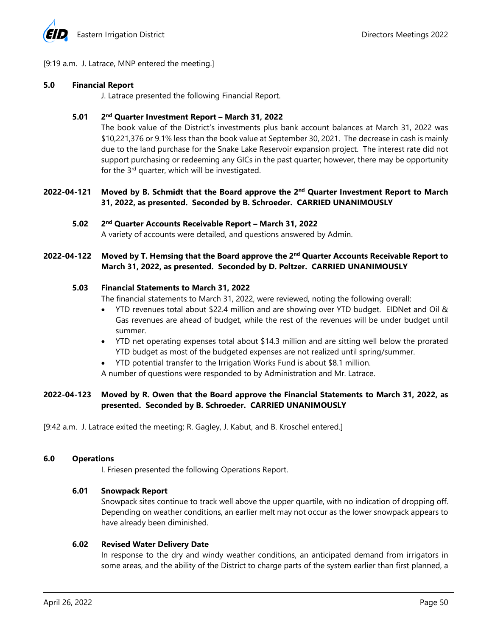

#### [9:19 a.m. J. Latrace, MNP entered the meeting.]

#### **5.0 Financial Report**

J. Latrace presented the following Financial Report.

#### **5.01 2nd Quarter Investment Report – March 31, 2022**

The book value of the District's investments plus bank account balances at March 31, 2022 was \$10,221,376 or 9.1% less than the book value at September 30, 2021. The decrease in cash is mainly due to the land purchase for the Snake Lake Reservoir expansion project. The interest rate did not support purchasing or redeeming any GICs in the past quarter; however, there may be opportunity for the 3rd quarter, which will be investigated.

## **2022-04-121 Moved by B. Schmidt that the Board approve the 2nd Quarter Investment Report to March 31, 2022, as presented. Seconded by B. Schroeder. CARRIED UNANIMOUSLY**

#### **5.02 2nd Quarter Accounts Receivable Report – March 31, 2022**  A variety of accounts were detailed, and questions answered by Admin.

### **2022-04-122 Moved by T. Hemsing that the Board approve the 2nd Quarter Accounts Receivable Report to March 31, 2022, as presented. Seconded by D. Peltzer. CARRIED UNANIMOUSLY**

#### **5.03 Financial Statements to March 31, 2022**

The financial statements to March 31, 2022, were reviewed, noting the following overall:

- YTD revenues total about \$22.4 million and are showing over YTD budget. EIDNet and Oil & Gas revenues are ahead of budget, while the rest of the revenues will be under budget until summer.
- YTD net operating expenses total about \$14.3 million and are sitting well below the prorated YTD budget as most of the budgeted expenses are not realized until spring/summer.
- YTD potential transfer to the Irrigation Works Fund is about \$8.1 million.

A number of questions were responded to by Administration and Mr. Latrace.

# **2022-04-123 Moved by R. Owen that the Board approve the Financial Statements to March 31, 2022, as presented. Seconded by B. Schroeder. CARRIED UNANIMOUSLY**

[9:42 a.m. J. Latrace exited the meeting; R. Gagley, J. Kabut, and B. Kroschel entered.]

#### **6.0 Operations**

I. Friesen presented the following Operations Report.

### **6.01 Snowpack Report**

Snowpack sites continue to track well above the upper quartile, with no indication of dropping off. Depending on weather conditions, an earlier melt may not occur as the lower snowpack appears to have already been diminished.

#### **6.02 Revised Water Delivery Date**

In response to the dry and windy weather conditions, an anticipated demand from irrigators in some areas, and the ability of the District to charge parts of the system earlier than first planned, a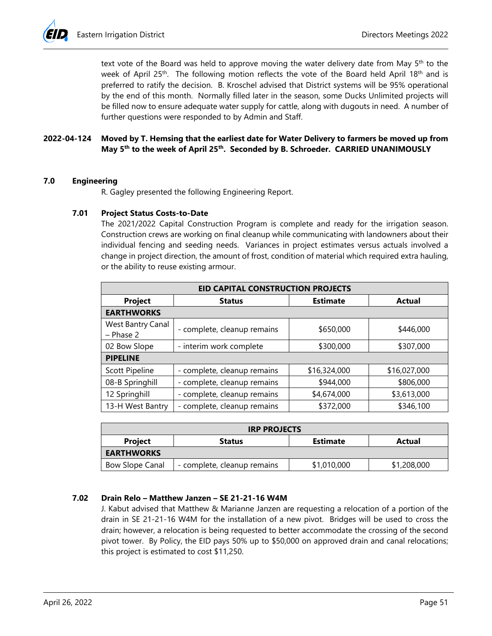text vote of the Board was held to approve moving the water delivery date from May  $5<sup>th</sup>$  to the week of April 25<sup>th</sup>. The following motion reflects the vote of the Board held April 18<sup>th</sup> and is preferred to ratify the decision. B. Kroschel advised that District systems will be 95% operational by the end of this month. Normally filled later in the season, some Ducks Unlimited projects will be filled now to ensure adequate water supply for cattle, along with dugouts in need. A number of further questions were responded to by Admin and Staff.

# **2022-04-124 Moved by T. Hemsing that the earliest date for Water Delivery to farmers be moved up from May 5th to the week of April 25th. Seconded by B. Schroeder. CARRIED UNANIMOUSLY**

# **7.0 Engineering**

R. Gagley presented the following Engineering Report.

# **7.01 Project Status Costs-to-Date**

The 2021/2022 Capital Construction Program is complete and ready for the irrigation season. Construction crews are working on final cleanup while communicating with landowners about their individual fencing and seeding needs. Variances in project estimates versus actuals involved a change in project direction, the amount of frost, condition of material which required extra hauling, or the ability to reuse existing armour.

| <b>EID CAPITAL CONSTRUCTION PROJECTS</b> |                             |                 |               |  |  |  |  |
|------------------------------------------|-----------------------------|-----------------|---------------|--|--|--|--|
| Project                                  | <b>Status</b>               | <b>Estimate</b> | <b>Actual</b> |  |  |  |  |
| <b>EARTHWORKS</b>                        |                             |                 |               |  |  |  |  |
| West Bantry Canal<br>$-$ Phase 2         | - complete, cleanup remains | \$650,000       | \$446,000     |  |  |  |  |
| 02 Bow Slope                             | - interim work complete     | \$300,000       | \$307,000     |  |  |  |  |
| <b>PIPELINE</b>                          |                             |                 |               |  |  |  |  |
| Scott Pipeline                           | - complete, cleanup remains | \$16,324,000    | \$16,027,000  |  |  |  |  |
| 08-B Springhill                          | - complete, cleanup remains | \$944,000       | \$806,000     |  |  |  |  |
| 12 Springhill                            | - complete, cleanup remains | \$4,674,000     | \$3,613,000   |  |  |  |  |
| 13-H West Bantry                         | - complete, cleanup remains | \$372,000       | \$346,100     |  |  |  |  |

| <b>IRP PROJECTS</b>                                   |                             |             |             |  |  |  |
|-------------------------------------------------------|-----------------------------|-------------|-------------|--|--|--|
| Project<br><b>Estimate</b><br><b>Status</b><br>Actual |                             |             |             |  |  |  |
| <b>EARTHWORKS</b>                                     |                             |             |             |  |  |  |
| Bow Slope Canal                                       | - complete, cleanup remains | \$1,010,000 | \$1,208,000 |  |  |  |

# **7.02 Drain Relo – Matthew Janzen – SE 21-21-16 W4M**

J. Kabut advised that Matthew & Marianne Janzen are requesting a relocation of a portion of the drain in SE 21-21-16 W4M for the installation of a new pivot. Bridges will be used to cross the drain; however, a relocation is being requested to better accommodate the crossing of the second pivot tower. By Policy, the EID pays 50% up to \$50,000 on approved drain and canal relocations; this project is estimated to cost \$11,250.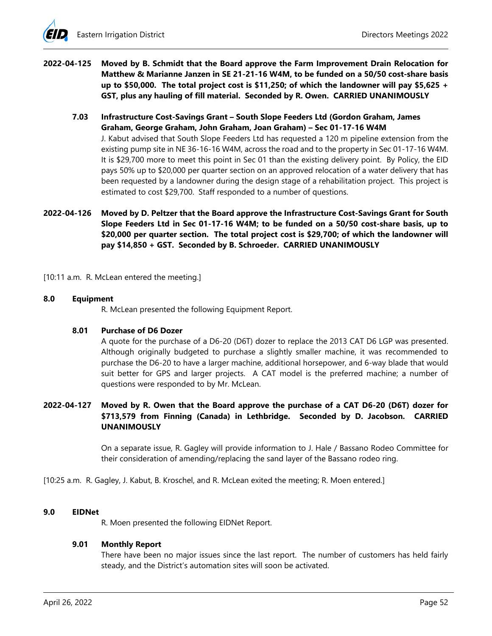- **2022-04-125 Moved by B. Schmidt that the Board approve the Farm Improvement Drain Relocation for Matthew & Marianne Janzen in SE 21-21-16 W4M, to be funded on a 50/50 cost-share basis up to \$50,000. The total project cost is \$11,250; of which the landowner will pay \$5,625 + GST, plus any hauling of fill material. Seconded by R. Owen. CARRIED UNANIMOUSLY** 
	- **7.03 Infrastructure Cost-Savings Grant South Slope Feeders Ltd (Gordon Graham, James Graham, George Graham, John Graham, Joan Graham) – Sec 01-17-16 W4M**  J. Kabut advised that South Slope Feeders Ltd has requested a 120 m pipeline extension from the existing pump site in NE 36-16-16 W4M, across the road and to the property in Sec 01-17-16 W4M. It is \$29,700 more to meet this point in Sec 01 than the existing delivery point. By Policy, the EID pays 50% up to \$20,000 per quarter section on an approved relocation of a water delivery that has been requested by a landowner during the design stage of a rehabilitation project. This project is estimated to cost \$29,700. Staff responded to a number of questions.
- **2022-04-126 Moved by D. Peltzer that the Board approve the Infrastructure Cost-Savings Grant for South Slope Feeders Ltd in Sec 01-17-16 W4M; to be funded on a 50/50 cost-share basis, up to \$20,000 per quarter section. The total project cost is \$29,700; of which the landowner will pay \$14,850 + GST. Seconded by B. Schroeder. CARRIED UNANIMOUSLY**

[10:11 a.m. R. McLean entered the meeting.]

#### **8.0 Equipment**

R. McLean presented the following Equipment Report.

#### **8.01 Purchase of D6 Dozer**

A quote for the purchase of a D6-20 (D6T) dozer to replace the 2013 CAT D6 LGP was presented. Although originally budgeted to purchase a slightly smaller machine, it was recommended to purchase the D6-20 to have a larger machine, additional horsepower, and 6-way blade that would suit better for GPS and larger projects. A CAT model is the preferred machine; a number of questions were responded to by Mr. McLean.

# **2022-04-127 Moved by R. Owen that the Board approve the purchase of a CAT D6-20 (D6T) dozer for \$713,579 from Finning (Canada) in Lethbridge. Seconded by D. Jacobson. CARRIED UNANIMOUSLY**

On a separate issue, R. Gagley will provide information to J. Hale / Bassano Rodeo Committee for their consideration of amending/replacing the sand layer of the Bassano rodeo ring.

[10:25 a.m. R. Gagley, J. Kabut, B. Kroschel, and R. McLean exited the meeting; R. Moen entered.]

#### **9.0 EIDNet**

R. Moen presented the following EIDNet Report.

#### **9.01 Monthly Report**

There have been no major issues since the last report. The number of customers has held fairly steady, and the District's automation sites will soon be activated.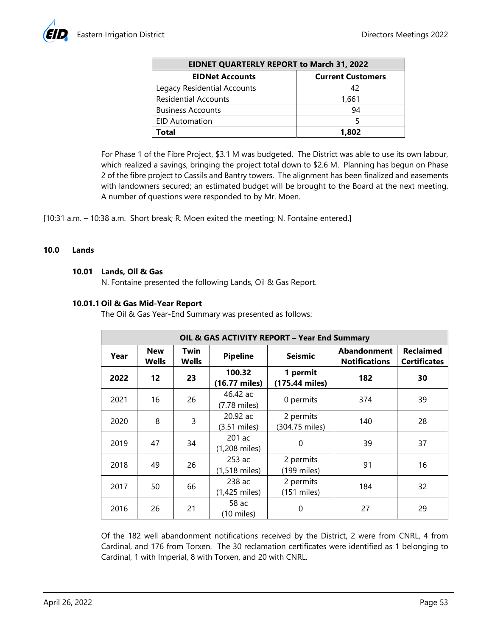| <b>EIDNET QUARTERLY REPORT to March 31, 2022</b> |                          |  |  |  |
|--------------------------------------------------|--------------------------|--|--|--|
| <b>EIDNet Accounts</b>                           | <b>Current Customers</b> |  |  |  |
| Legacy Residential Accounts                      | 42                       |  |  |  |
| <b>Residential Accounts</b>                      | 1,661                    |  |  |  |
| <b>Business Accounts</b>                         | 94                       |  |  |  |
| <b>EID Automation</b>                            |                          |  |  |  |
| Total                                            | 1,802                    |  |  |  |

For Phase 1 of the Fibre Project, \$3.1 M was budgeted. The District was able to use its own labour, which realized a savings, bringing the project total down to \$2.6 M. Planning has begun on Phase 2 of the fibre project to Cassils and Bantry towers. The alignment has been finalized and easements with landowners secured; an estimated budget will be brought to the Board at the next meeting. A number of questions were responded to by Mr. Moen.

[10:31 a.m. – 10:38 a.m. Short break; R. Moen exited the meeting; N. Fontaine entered.]

#### **10.0 Lands**

#### **10.01 Lands, Oil & Gas**

N. Fontaine presented the following Lands, Oil & Gas Report.

### **10.01.1 Oil & Gas Mid-Year Report**

The Oil & Gas Year-End Summary was presented as follows:

| <b>OIL &amp; GAS ACTIVITY REPORT - Year End Summary</b> |                     |               |                                   |                             |                                            |                                         |
|---------------------------------------------------------|---------------------|---------------|-----------------------------------|-----------------------------|--------------------------------------------|-----------------------------------------|
| Year                                                    | <b>New</b><br>Wells | Twin<br>Wells | <b>Seismic</b><br><b>Pipeline</b> |                             | <b>Abandonment</b><br><b>Notifications</b> | <b>Reclaimed</b><br><b>Certificates</b> |
| 2022                                                    | 12                  | 23            | 100.32<br>(16.77 miles)           | 1 permit<br>(175.44 miles)  | 182                                        | 30                                      |
| 2021                                                    | 16                  | 26            | 46.42 ac<br>(7.78 miles)          | 0 permits                   | 374                                        | 39                                      |
| 2020                                                    | 8                   | 3             | $20.92$ ac<br>(3.51 miles)        | 2 permits<br>(304.75 miles) | 140                                        | 28                                      |
| 2019                                                    | 47                  | 34            | 201 ac<br>(1,208 miles)           | $\mathbf{0}$                | 39                                         | 37                                      |
| 2018                                                    | 49                  | 26            | 253 ac<br>$(1,518 \text{ miles})$ | 2 permits<br>(199 miles)    | 91                                         | 16                                      |
| 2017                                                    | 50                  | 66            | 238 ac<br>(1,425 miles)           | 2 permits<br>$(151$ miles)  | 184                                        | 32                                      |
| 2016                                                    | 26                  | 21            | 58 ac<br>$(10 \text{ miles})$     | 0                           | 27                                         | 29                                      |

Of the 182 well abandonment notifications received by the District, 2 were from CNRL, 4 from Cardinal, and 176 from Torxen. The 30 reclamation certificates were identified as 1 belonging to Cardinal, 1 with Imperial, 8 with Torxen, and 20 with CNRL.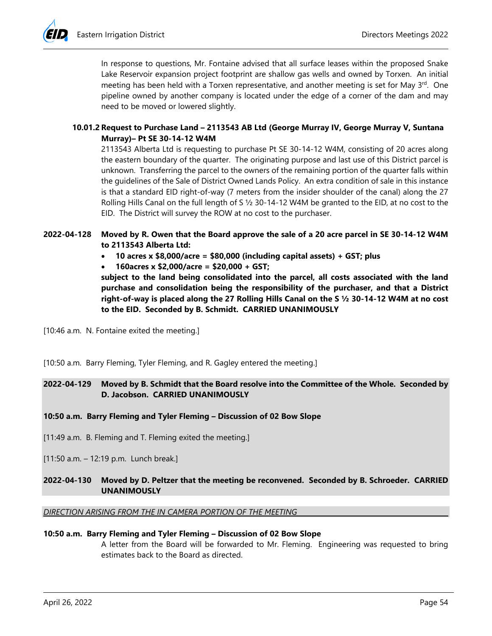In response to questions, Mr. Fontaine advised that all surface leases within the proposed Snake Lake Reservoir expansion project footprint are shallow gas wells and owned by Torxen. An initial meeting has been held with a Torxen representative, and another meeting is set for May  $3<sup>rd</sup>$ . One pipeline owned by another company is located under the edge of a corner of the dam and may need to be moved or lowered slightly.

### **10.01.2 Request to Purchase Land – 2113543 AB Ltd (George Murray IV, George Murray V, Suntana Murray)– Pt SE 30-14-12 W4M**

2113543 Alberta Ltd is requesting to purchase Pt SE 30-14-12 W4M, consisting of 20 acres along the eastern boundary of the quarter. The originating purpose and last use of this District parcel is unknown. Transferring the parcel to the owners of the remaining portion of the quarter falls within the guidelines of the Sale of District Owned Lands Policy. An extra condition of sale in this instance is that a standard EID right-of-way (7 meters from the insider shoulder of the canal) along the 27 Rolling Hills Canal on the full length of S ½ 30-14-12 W4M be granted to the EID, at no cost to the EID. The District will survey the ROW at no cost to the purchaser.

# **2022-04-128 Moved by R. Owen that the Board approve the sale of a 20 acre parcel in SE 30-14-12 W4M to 2113543 Alberta Ltd:**

- **10 acres x \$8,000/acre = \$80,000 (including capital assets) + GST; plus**
- **160acres x \$2,000/acre = \$20,000 + GST;**

**subject to the land being consolidated into the parcel, all costs associated with the land purchase and consolidation being the responsibility of the purchaser, and that a District right-of-way is placed along the 27 Rolling Hills Canal on the S ½ 30-14-12 W4M at no cost to the EID. Seconded by B. Schmidt. CARRIED UNANIMOUSLY** 

[10:46 a.m. N. Fontaine exited the meeting.]

[10:50 a.m. Barry Fleming, Tyler Fleming, and R. Gagley entered the meeting.]

# **2022-04-129 Moved by B. Schmidt that the Board resolve into the Committee of the Whole. Seconded by D. Jacobson. CARRIED UNANIMOUSLY**

### **10:50 a.m. Barry Fleming and Tyler Fleming – Discussion of 02 Bow Slope**

- [11:49 a.m. B. Fleming and T. Fleming exited the meeting.]
- [11:50 a.m. 12:19 p.m. Lunch break.]

### **2022-04-130 Moved by D. Peltzer that the meeting be reconvened. Seconded by B. Schroeder. CARRIED UNANIMOUSLY**

#### **DIRECTION ARISING FROM THE IN CAMERA PORTION OF THE MEETING**

#### **10:50 a.m. Barry Fleming and Tyler Fleming – Discussion of 02 Bow Slope**

A letter from the Board will be forwarded to Mr. Fleming. Engineering was requested to bring estimates back to the Board as directed.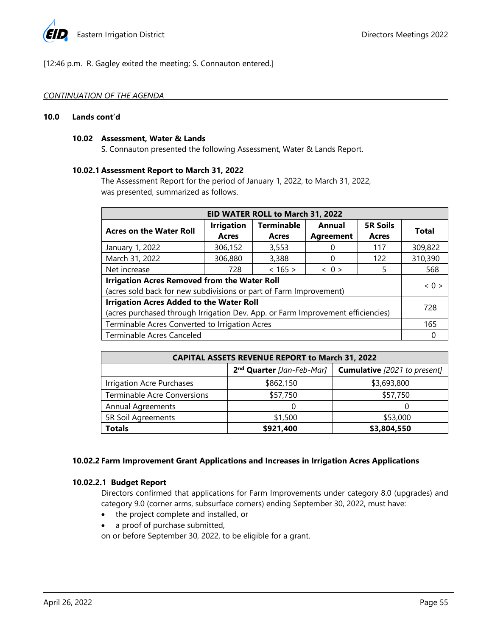

[12:46 p.m. R. Gagley exited the meeting; S. Connauton entered.]

#### *CONTINUATION OF THE AGENDA*

#### **10.0 Lands cont'd**

#### **10.02 Assessment, Water & Lands**

S. Connauton presented the following Assessment, Water & Lands Report.

#### **10.02.1 Assessment Report to March 31, 2022**

The Assessment Report for the period of January 1, 2022, to March 31, 2022, was presented, summarized as follows.

| EID WATER ROLL to March 31, 2022                                                |                   |                   |                     |                 |                     |  |
|---------------------------------------------------------------------------------|-------------------|-------------------|---------------------|-----------------|---------------------|--|
| <b>Acres on the Water Roll</b>                                                  | <b>Irrigation</b> | <b>Terminable</b> | Annual              | <b>5R Soils</b> | <b>Total</b>        |  |
|                                                                                 | <b>Acres</b>      | Acres             | <b>Agreement</b>    | <b>Acres</b>    |                     |  |
| January 1, 2022                                                                 | 306,152           | 3,553             |                     | 117             | 309,822             |  |
| March 31, 2022                                                                  | 306,880           | 3,388             | 0                   | 122             | 310,390             |  |
| Net increase                                                                    | 728               | $< 165$ >         | $\langle 0 \rangle$ |                 | 568                 |  |
| <b>Irrigation Acres Removed from the Water Roll</b>                             |                   |                   |                     |                 | $\langle 0 \rangle$ |  |
| (acres sold back for new subdivisions or part of Farm Improvement)              |                   |                   |                     |                 |                     |  |
| <b>Irrigation Acres Added to the Water Roll</b>                                 |                   |                   |                     | 728             |                     |  |
| (acres purchased through Irrigation Dev. App. or Farm Improvement efficiencies) |                   |                   |                     |                 |                     |  |
| Terminable Acres Converted to Irrigation Acres                                  |                   |                   |                     | 165             |                     |  |
| Terminable Acres Canceled                                                       |                   |                   |                     |                 |                     |  |

| <b>CAPITAL ASSETS REVENUE REPORT to March 31, 2022</b> |                                       |                                     |  |  |  |
|--------------------------------------------------------|---------------------------------------|-------------------------------------|--|--|--|
|                                                        | 2 <sup>nd</sup> Quarter [Jan-Feb-Mar] | <b>Cumulative</b> [2021 to present] |  |  |  |
| Irrigation Acre Purchases                              | \$862,150                             | \$3,693,800                         |  |  |  |
| <b>Terminable Acre Conversions</b>                     | \$57,750                              | \$57,750                            |  |  |  |
| <b>Annual Agreements</b>                               |                                       |                                     |  |  |  |
| 5R Soil Agreements                                     | \$1,500                               | \$53,000                            |  |  |  |
| <b>Totals</b>                                          | \$921,400                             | \$3,804,550                         |  |  |  |

### **10.02.2 Farm Improvement Grant Applications and Increases in Irrigation Acres Applications**

### **10.02.2.1 Budget Report**

Directors confirmed that applications for Farm Improvements under category 8.0 (upgrades) and category 9.0 (corner arms, subsurface corners) ending September 30, 2022, must have:

- the project complete and installed, or
- a proof of purchase submitted,

on or before September 30, 2022, to be eligible for a grant.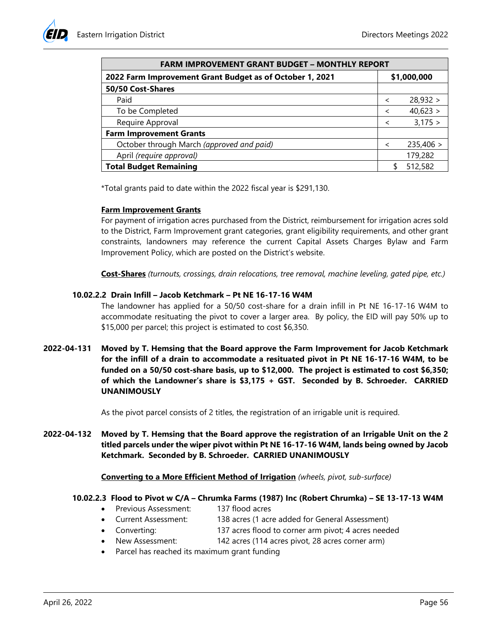| <b>FARM IMPROVEMENT GRANT BUDGET - MONTHLY REPORT</b>    |                          |           |  |  |
|----------------------------------------------------------|--------------------------|-----------|--|--|
| 2022 Farm Improvement Grant Budget as of October 1, 2021 | \$1,000,000              |           |  |  |
| 50/50 Cost-Shares                                        |                          |           |  |  |
| Paid                                                     | $\prec$                  | 28,932 >  |  |  |
| To be Completed                                          | $\overline{\phantom{a}}$ | 40,623 >  |  |  |
| Require Approval                                         |                          | 3,175 >   |  |  |
| <b>Farm Improvement Grants</b>                           |                          |           |  |  |
| October through March (approved and paid)                | $\prec$                  | 235,406 > |  |  |
| April (require approval)                                 |                          | 179,282   |  |  |
| <b>Total Budget Remaining</b>                            |                          | 512,582   |  |  |

\*Total grants paid to date within the 2022 fiscal year is \$291,130.

#### **Farm Improvement Grants**

For payment of irrigation acres purchased from the District, reimbursement for irrigation acres sold to the District, Farm Improvement grant categories, grant eligibility requirements, and other grant constraints, landowners may reference the current Capital Assets Charges Bylaw and Farm Improvement Policy, which are posted on the District's website.

**Cost-Shares** *(turnouts, crossings, drain relocations, tree removal, machine leveling, gated pipe, etc.)*

### **10.02.2.2 Drain Infill – Jacob Ketchmark – Pt NE 16-17-16 W4M**

The landowner has applied for a 50/50 cost-share for a drain infill in Pt NE 16-17-16 W4M to accommodate resituating the pivot to cover a larger area. By policy, the EID will pay 50% up to \$15,000 per parcel; this project is estimated to cost \$6,350.

**2022-04-131 Moved by T. Hemsing that the Board approve the Farm Improvement for Jacob Ketchmark for the infill of a drain to accommodate a resituated pivot in Pt NE 16-17-16 W4M, to be funded on a 50/50 cost-share basis, up to \$12,000. The project is estimated to cost \$6,350; of which the Landowner's share is \$3,175 + GST. Seconded by B. Schroeder. CARRIED UNANIMOUSLY** 

As the pivot parcel consists of 2 titles, the registration of an irrigable unit is required.

**2022-04-132 Moved by T. Hemsing that the Board approve the registration of an Irrigable Unit on the 2 titled parcels under the wiper pivot within Pt NE 16-17-16 W4M, lands being owned by Jacob Ketchmark. Seconded by B. Schroeder. CARRIED UNANIMOUSLY** 

**Converting to a More Efficient Method of Irrigation** *(wheels, pivot, sub-surface)* 

#### **10.02.2.3 Flood to Pivot w C/A – Chrumka Farms (1987) Inc (Robert Chrumka) – SE 13-17-13 W4M**

- Previous Assessment: 137 flood acres
- Current Assessment: 138 acres (1 acre added for General Assessment)
- Converting: 137 acres flood to corner arm pivot; 4 acres needed
- New Assessment: 142 acres (114 acres pivot, 28 acres corner arm)
- Parcel has reached its maximum grant funding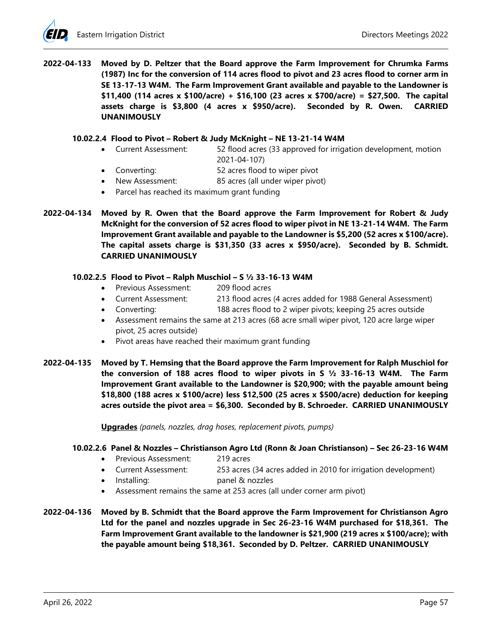**2022-04-133 Moved by D. Peltzer that the Board approve the Farm Improvement for Chrumka Farms (1987) Inc for the conversion of 114 acres flood to pivot and 23 acres flood to corner arm in SE 13-17-13 W4M. The Farm Improvement Grant available and payable to the Landowner is \$11,400 (114 acres x \$100/acre) + \$16,100 (23 acres x \$700/acre) = \$27,500. The capital assets charge is \$3,800 (4 acres x \$950/acre). Seconded by R. Owen. CARRIED UNANIMOUSLY** 

### **10.02.2.4 Flood to Pivot – Robert & Judy McKnight – NE 13-21-14 W4M**

- Current Assessment: 52 flood acres (33 approved for irrigation development, motion 2021-04-107)
- Converting: 52 acres flood to wiper pivot
- New Assessment: 85 acres (all under wiper pivot)
- Parcel has reached its maximum grant funding
- **2022-04-134 Moved by R. Owen that the Board approve the Farm Improvement for Robert & Judy McKnight for the conversion of 52 acres flood to wiper pivot in NE 13-21-14 W4M. The Farm Improvement Grant available and payable to the Landowner is \$5,200 (52 acres x \$100/acre). The capital assets charge is \$31,350 (33 acres x \$950/acre). Seconded by B. Schmidt. CARRIED UNANIMOUSLY**

# **10.02.2.5 Flood to Pivot – Ralph Muschiol – S ½ 33-16-13 W4M**

- Previous Assessment: 209 flood acres
- Current Assessment: 213 flood acres (4 acres added for 1988 General Assessment)
- Converting: 188 acres flood to 2 wiper pivots; keeping 25 acres outside
- Assessment remains the same at 213 acres (68 acre small wiper pivot, 120 acre large wiper pivot, 25 acres outside)
- Pivot areas have reached their maximum grant funding
- **2022-04-135 Moved by T. Hemsing that the Board approve the Farm Improvement for Ralph Muschiol for the conversion of 188 acres flood to wiper pivots in S ½ 33-16-13 W4M. The Farm Improvement Grant available to the Landowner is \$20,900; with the payable amount being \$18,800 (188 acres x \$100/acre) less \$12,500 (25 acres x \$500/acre) deduction for keeping acres outside the pivot area = \$6,300. Seconded by B. Schroeder. CARRIED UNANIMOUSLY**

**Upgrades** *(panels, nozzles, drag hoses, replacement pivots, pumps)* 

# **10.02.2.6 Panel & Nozzles – Christianson Agro Ltd (Ronn & Joan Christianson) – Sec 26-23-16 W4M**

- Previous Assessment: 219 acres
- Current Assessment: 253 acres (34 acres added in 2010 for irrigation development)
- Installing: panel & nozzles
- Assessment remains the same at 253 acres (all under corner arm pivot)

**2022-04-136 Moved by B. Schmidt that the Board approve the Farm Improvement for Christianson Agro Ltd for the panel and nozzles upgrade in Sec 26-23-16 W4M purchased for \$18,361. The Farm Improvement Grant available to the landowner is \$21,900 (219 acres x \$100/acre); with the payable amount being \$18,361. Seconded by D. Peltzer. CARRIED UNANIMOUSLY**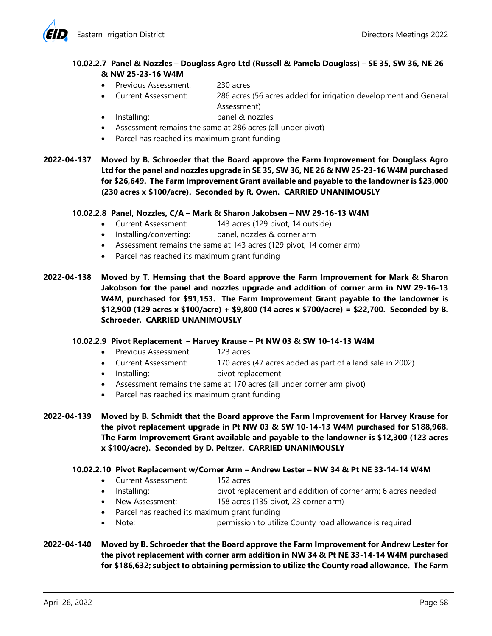

# **10.02.2.7 Panel & Nozzles – Douglass Agro Ltd (Russell & Pamela Douglass) – SE 35, SW 36, NE 26 & NW 25-23-16 W4M**

- Previous Assessment: 230 acres
- Current Assessment: 286 acres (56 acres added for irrigation development and General Assessment)
- Installing: panel & nozzles
- Assessment remains the same at 286 acres (all under pivot)
- Parcel has reached its maximum grant funding
- **2022-04-137 Moved by B. Schroeder that the Board approve the Farm Improvement for Douglass Agro Ltd for the panel and nozzles upgrade in SE 35, SW 36, NE 26 & NW 25-23-16 W4M purchased for \$26,649. The Farm Improvement Grant available and payable to the landowner is \$23,000 (230 acres x \$100/acre). Seconded by R. Owen. CARRIED UNANIMOUSLY**

### **10.02.2.8 Panel, Nozzles, C/A – Mark & Sharon Jakobsen – NW 29-16-13 W4M**

- Current Assessment: 143 acres (129 pivot, 14 outside)
- Installing/converting: panel, nozzles & corner arm
- Assessment remains the same at 143 acres (129 pivot, 14 corner arm)
- Parcel has reached its maximum grant funding
- **2022-04-138 Moved by T. Hemsing that the Board approve the Farm Improvement for Mark & Sharon Jakobson for the panel and nozzles upgrade and addition of corner arm in NW 29-16-13 W4M, purchased for \$91,153. The Farm Improvement Grant payable to the landowner is \$12,900 (129 acres x \$100/acre) + \$9,800 (14 acres x \$700/acre) = \$22,700. Seconded by B. Schroeder. CARRIED UNANIMOUSLY**

### **10.02.2.9 Pivot Replacement – Harvey Krause – Pt NW 03 & SW 10-14-13 W4M**

- Previous Assessment: 123 acres
- Current Assessment: 170 acres (47 acres added as part of a land sale in 2002)
- Installing: pivot replacement
- Assessment remains the same at 170 acres (all under corner arm pivot)
- Parcel has reached its maximum grant funding
- **2022-04-139 Moved by B. Schmidt that the Board approve the Farm Improvement for Harvey Krause for the pivot replacement upgrade in Pt NW 03 & SW 10-14-13 W4M purchased for \$188,968. The Farm Improvement Grant available and payable to the landowner is \$12,300 (123 acres x \$100/acre). Seconded by D. Peltzer. CARRIED UNANIMOUSLY** 
	- **10.02.2.10 Pivot Replacement w/Corner Arm Andrew Lester NW 34 & Pt NE 33-14-14 W4M** 
		- Current Assessment: 152 acres
		- Installing: pivot replacement and addition of corner arm; 6 acres needed
		- New Assessment: 158 acres (135 pivot, 23 corner arm)
		- Parcel has reached its maximum grant funding
		- Note: permission to utilize County road allowance is required
- **2022-04-140 Moved by B. Schroeder that the Board approve the Farm Improvement for Andrew Lester for the pivot replacement with corner arm addition in NW 34 & Pt NE 33-14-14 W4M purchased for \$186,632; subject to obtaining permission to utilize the County road allowance. The Farm**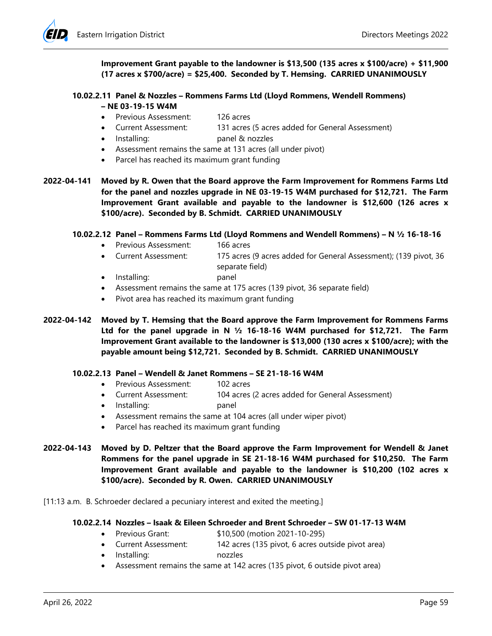

**Improvement Grant payable to the landowner is \$13,500 (135 acres x \$100/acre) + \$11,900 (17 acres x \$700/acre) = \$25,400. Seconded by T. Hemsing. CARRIED UNANIMOUSLY** 

#### **10.02.2.11 Panel & Nozzles – Rommens Farms Ltd (Lloyd Rommens, Wendell Rommens) – NE 03-19-15 W4M**

- Previous Assessment: 126 acres
	-
	- Current Assessment: 131 acres (5 acres added for General Assessment)
- Installing: panel & nozzles
- Assessment remains the same at 131 acres (all under pivot)
- Parcel has reached its maximum grant funding

**2022-04-141 Moved by R. Owen that the Board approve the Farm Improvement for Rommens Farms Ltd for the panel and nozzles upgrade in NE 03-19-15 W4M purchased for \$12,721. The Farm Improvement Grant available and payable to the landowner is \$12,600 (126 acres x \$100/acre). Seconded by B. Schmidt. CARRIED UNANIMOUSLY** 

### **10.02.2.12 Panel – Rommens Farms Ltd (Lloyd Rommens and Wendell Rommens) – N ½ 16-18-16**

- Previous Assessment: 166 acres
- Current Assessment: 175 acres (9 acres added for General Assessment); (139 pivot, 36 separate field)
- Installing: panel
- Assessment remains the same at 175 acres (139 pivot, 36 separate field)
- Pivot area has reached its maximum grant funding
- **2022-04-142 Moved by T. Hemsing that the Board approve the Farm Improvement for Rommens Farms Ltd for the panel upgrade in N ½ 16-18-16 W4M purchased for \$12,721. The Farm Improvement Grant available to the landowner is \$13,000 (130 acres x \$100/acre); with the payable amount being \$12,721. Seconded by B. Schmidt. CARRIED UNANIMOUSLY**

### **10.02.2.13 Panel – Wendell & Janet Rommens – SE 21-18-16 W4M**

- Previous Assessment: 102 acres
- Current Assessment: 104 acres (2 acres added for General Assessment)
- Installing: panel
- Assessment remains the same at 104 acres (all under wiper pivot)
- Parcel has reached its maximum grant funding
- **2022-04-143 Moved by D. Peltzer that the Board approve the Farm Improvement for Wendell & Janet Rommens for the panel upgrade in SE 21-18-16 W4M purchased for \$10,250. The Farm Improvement Grant available and payable to the landowner is \$10,200 (102 acres x \$100/acre). Seconded by R. Owen. CARRIED UNANIMOUSLY**

[11:13 a.m. B. Schroeder declared a pecuniary interest and exited the meeting.]

### **10.02.2.14 Nozzles – Isaak & Eileen Schroeder and Brent Schroeder – SW 01-17-13 W4M**

- Previous Grant: \$10,500 (motion 2021-10-295)
- Current Assessment: 142 acres (135 pivot, 6 acres outside pivot area)
- Installing: nozzles
- Assessment remains the same at 142 acres (135 pivot, 6 outside pivot area)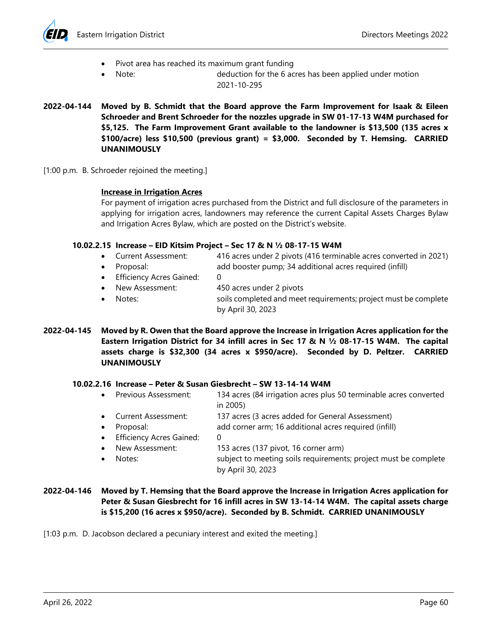



- Pivot area has reached its maximum grant funding
- - Note: deduction for the 6 acres has been applied under motion 2021-10-295
- **2022-04-144 Moved by B. Schmidt that the Board approve the Farm Improvement for Isaak & Eileen Schroeder and Brent Schroeder for the nozzles upgrade in SW 01-17-13 W4M purchased for \$5,125. The Farm Improvement Grant available to the landowner is \$13,500 (135 acres x \$100/acre) less \$10,500 (previous grant) = \$3,000. Seconded by T. Hemsing. CARRIED UNANIMOUSLY**
- [1:00 p.m. B. Schroeder rejoined the meeting.]

# **Increase in Irrigation Acres**

For payment of irrigation acres purchased from the District and full disclosure of the parameters in applying for irrigation acres, landowners may reference the current Capital Assets Charges Bylaw and Irrigation Acres Bylaw, which are posted on the District's website.

# **10.02.2.15 Increase – EID Kitsim Project – Sec 17 & N ½ 08-17-15 W4M**

- Current Assessment: 416 acres under 2 pivots (416 terminable acres converted in 2021)
- Proposal: add booster pump; 34 additional acres required (infill)
- Efficiency Acres Gained: 0
- New Assessment: 450 acres under 2 pivots
- Notes: soils completed and meet requirements; project must be complete by April 30, 2023
- **2022-04-145 Moved by R. Owen that the Board approve the Increase in Irrigation Acres application for the Eastern Irrigation District for 34 infill acres in Sec 17 & N ½ 08-17-15 W4M. The capital assets charge is \$32,300 (34 acres x \$950/acre). Seconded by D. Peltzer. CARRIED UNANIMOUSLY**

### **10.02.2.16 Increase – Peter & Susan Giesbrecht – SW 13-14-14 W4M**

- Previous Assessment: 134 acres (84 irrigation acres plus 50 terminable acres converted in 2005)
- Current Assessment: 137 acres (3 acres added for General Assessment)
- Proposal: add corner arm; 16 additional acres required (infill)
- Efficiency Acres Gained: 0
- New Assessment: 153 acres (137 pivot, 16 corner arm)
	- Notes: subject to meeting soils requirements; project must be complete by April 30, 2023
- **2022-04-146 Moved by T. Hemsing that the Board approve the Increase in Irrigation Acres application for Peter & Susan Giesbrecht for 16 infill acres in SW 13-14-14 W4M. The capital assets charge is \$15,200 (16 acres x \$950/acre). Seconded by B. Schmidt. CARRIED UNANIMOUSLY**

[1:03 p.m. D. Jacobson declared a pecuniary interest and exited the meeting.]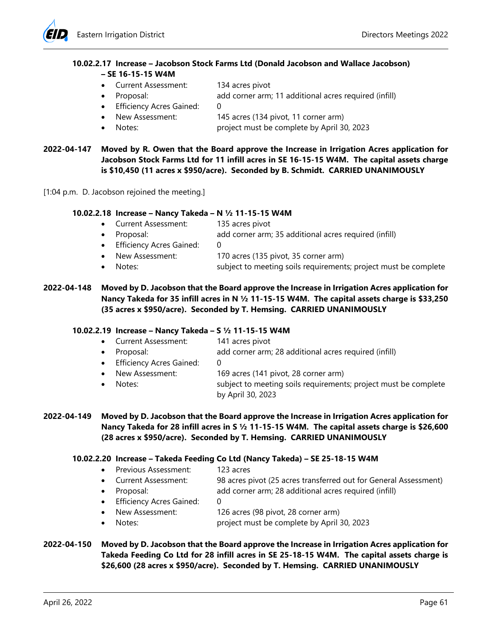

# **10.02.2.17 Increase – Jacobson Stock Farms Ltd (Donald Jacobson and Wallace Jacobson) – SE 16-15-15 W4M**

- Current Assessment: 134 acres pivot
- Proposal: add corner arm; 11 additional acres required (infill)
- Efficiency Acres Gained: 0
- New Assessment: 145 acres (134 pivot, 11 corner arm)
	- Notes: project must be complete by April 30, 2023

# **2022-04-147 Moved by R. Owen that the Board approve the Increase in Irrigation Acres application for Jacobson Stock Farms Ltd for 11 infill acres in SE 16-15-15 W4M. The capital assets charge is \$10,450 (11 acres x \$950/acre). Seconded by B. Schmidt. CARRIED UNANIMOUSLY**

[1:04 p.m. D. Jacobson rejoined the meeting.]

### **10.02.2.18 Increase – Nancy Takeda – N ½ 11-15-15 W4M**

- Current Assessment: 135 acres pivot
- Proposal: add corner arm; 35 additional acres required (infill)
- **•** Efficiency Acres Gained:
- New Assessment: 170 acres (135 pivot, 35 corner arm)
- Notes: subject to meeting soils requirements; project must be complete

# **2022-04-148 Moved by D. Jacobson that the Board approve the Increase in Irrigation Acres application for Nancy Takeda for 35 infill acres in N ½ 11-15-15 W4M. The capital assets charge is \$33,250 (35 acres x \$950/acre). Seconded by T. Hemsing. CARRIED UNANIMOUSLY**

### **10.02.2.19 Increase – Nancy Takeda – S ½ 11-15-15 W4M**

- Current Assessment: 141 acres pivot
	- Proposal: add corner arm; 28 additional acres required (infill)
- **•** Efficiency Acres Gained:
- - New Assessment: 169 acres (141 pivot, 28 corner arm) Notes: subject to meeting soils requirements; project must be complete by April 30, 2023
- **2022-04-149 Moved by D. Jacobson that the Board approve the Increase in Irrigation Acres application for Nancy Takeda for 28 infill acres in S ½ 11-15-15 W4M. The capital assets charge is \$26,600 (28 acres x \$950/acre). Seconded by T. Hemsing. CARRIED UNANIMOUSLY**

# **10.02.2.20 Increase – Takeda Feeding Co Ltd (Nancy Takeda) – SE 25-18-15 W4M**

- Previous Assessment: 123 acres
- Current Assessment: 98 acres pivot (25 acres transferred out for General Assessment)
- Proposal: add corner arm; 28 additional acres required (infill)
- Efficiency Acres Gained: 0
	- New Assessment: 126 acres (98 pivot, 28 corner arm)
	- Notes: project must be complete by April 30, 2023
- **2022-04-150 Moved by D. Jacobson that the Board approve the Increase in Irrigation Acres application for Takeda Feeding Co Ltd for 28 infill acres in SE 25-18-15 W4M. The capital assets charge is \$26,600 (28 acres x \$950/acre). Seconded by T. Hemsing. CARRIED UNANIMOUSLY**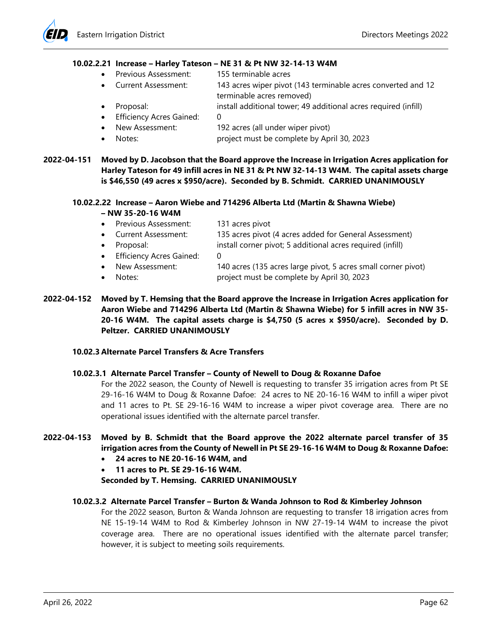#### **10.02.2.21 Increase – Harley Tateson – NE 31 & Pt NW 32-14-13 W4M**

- Previous Assessment: 155 terminable acres
- Current Assessment: 143 acres wiper pivot (143 terminable acres converted and 12 terminable acres removed)
- Proposal: install additional tower; 49 additional acres required (infill)
- Efficiency Acres Gained: 0
	- New Assessment: 192 acres (all under wiper pivot)
- Notes: project must be complete by April 30, 2023
- **2022-04-151 Moved by D. Jacobson that the Board approve the Increase in Irrigation Acres application for Harley Tateson for 49 infill acres in NE 31 & Pt NW 32-14-13 W4M. The capital assets charge is \$46,550 (49 acres x \$950/acre). Seconded by B. Schmidt. CARRIED UNANIMOUSLY**

# **10.02.2.22 Increase – Aaron Wiebe and 714296 Alberta Ltd (Martin & Shawna Wiebe) – NW 35-20-16 W4M**

- Previous Assessment: 131 acres pivot
- Current Assessment: 135 acres pivot (4 acres added for General Assessment)
- Proposal: install corner pivot; 5 additional acres required (infill)
- Efficiency Acres Gained: 0
- New Assessment: 140 acres (135 acres large pivot, 5 acres small corner pivot)
- Notes: project must be complete by April 30, 2023
- **2022-04-152 Moved by T. Hemsing that the Board approve the Increase in Irrigation Acres application for Aaron Wiebe and 714296 Alberta Ltd (Martin & Shawna Wiebe) for 5 infill acres in NW 35- 20-16 W4M. The capital assets charge is \$4,750 (5 acres x \$950/acre). Seconded by D. Peltzer. CARRIED UNANIMOUSLY**

### **10.02.3 Alternate Parcel Transfers & Acre Transfers**

### **10.02.3.1 Alternate Parcel Transfer – County of Newell to Doug & Roxanne Dafoe**

For the 2022 season, the County of Newell is requesting to transfer 35 irrigation acres from Pt SE 29-16-16 W4M to Doug & Roxanne Dafoe: 24 acres to NE 20-16-16 W4M to infill a wiper pivot and 11 acres to Pt. SE 29-16-16 W4M to increase a wiper pivot coverage area. There are no operational issues identified with the alternate parcel transfer.

### **2022-04-153 Moved by B. Schmidt that the Board approve the 2022 alternate parcel transfer of 35 irrigation acres from the County of Newell in Pt SE 29-16-16 W4M to Doug & Roxanne Dafoe:**

- **24 acres to NE 20-16-16 W4M, and**
- **11 acres to Pt. SE 29-16-16 W4M.**

# **Seconded by T. Hemsing. CARRIED UNANIMOUSLY**

### **10.02.3.2 Alternate Parcel Transfer – Burton & Wanda Johnson to Rod & Kimberley Johnson**

For the 2022 season, Burton & Wanda Johnson are requesting to transfer 18 irrigation acres from NE 15-19-14 W4M to Rod & Kimberley Johnson in NW 27-19-14 W4M to increase the pivot coverage area. There are no operational issues identified with the alternate parcel transfer; however, it is subject to meeting soils requirements.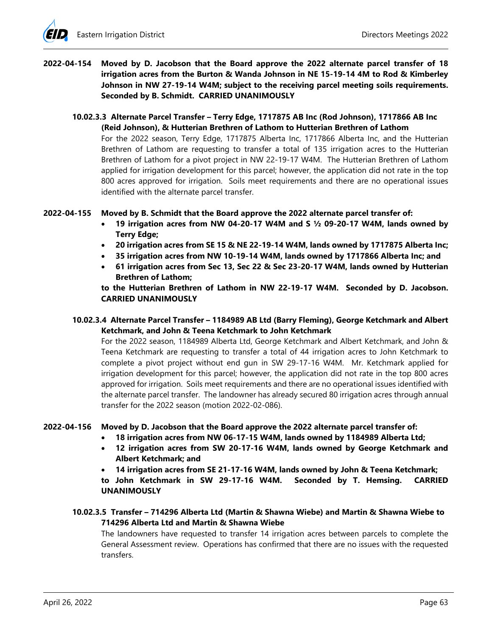# **2022-04-154 Moved by D. Jacobson that the Board approve the 2022 alternate parcel transfer of 18 irrigation acres from the Burton & Wanda Johnson in NE 15-19-14 4M to Rod & Kimberley Johnson in NW 27-19-14 W4M; subject to the receiving parcel meeting soils requirements. Seconded by B. Schmidt. CARRIED UNANIMOUSLY**

## **10.02.3.3 Alternate Parcel Transfer – Terry Edge, 1717875 AB Inc (Rod Johnson), 1717866 AB Inc (Reid Johnson), & Hutterian Brethren of Lathom to Hutterian Brethren of Lathom**

For the 2022 season, Terry Edge, 1717875 Alberta Inc, 1717866 Alberta Inc, and the Hutterian Brethren of Lathom are requesting to transfer a total of 135 irrigation acres to the Hutterian Brethren of Lathom for a pivot project in NW 22-19-17 W4M. The Hutterian Brethren of Lathom applied for irrigation development for this parcel; however, the application did not rate in the top 800 acres approved for irrigation. Soils meet requirements and there are no operational issues identified with the alternate parcel transfer.

### **2022-04-155 Moved by B. Schmidt that the Board approve the 2022 alternate parcel transfer of:**

- **19 irrigation acres from NW 04-20-17 W4M and S ½ 09-20-17 W4M, lands owned by Terry Edge;**
- **20 irrigation acres from SE 15 & NE 22-19-14 W4M, lands owned by 1717875 Alberta Inc;**
- **35 irrigation acres from NW 10-19-14 W4M, lands owned by 1717866 Alberta Inc; and**
- **61 irrigation acres from Sec 13, Sec 22 & Sec 23-20-17 W4M, lands owned by Hutterian Brethren of Lathom;**

**to the Hutterian Brethren of Lathom in NW 22-19-17 W4M. Seconded by D. Jacobson. CARRIED UNANIMOUSLY** 

# **10.02.3.4 Alternate Parcel Transfer – 1184989 AB Ltd (Barry Fleming), George Ketchmark and Albert Ketchmark, and John & Teena Ketchmark to John Ketchmark**

For the 2022 season, 1184989 Alberta Ltd, George Ketchmark and Albert Ketchmark, and John & Teena Ketchmark are requesting to transfer a total of 44 irrigation acres to John Ketchmark to complete a pivot project without end gun in SW 29-17-16 W4M. Mr. Ketchmark applied for irrigation development for this parcel; however, the application did not rate in the top 800 acres approved for irrigation. Soils meet requirements and there are no operational issues identified with the alternate parcel transfer. The landowner has already secured 80 irrigation acres through annual transfer for the 2022 season (motion 2022-02-086).

# **2022-04-156 Moved by D. Jacobson that the Board approve the 2022 alternate parcel transfer of:**

- **18 irrigation acres from NW 06-17-15 W4M, lands owned by 1184989 Alberta Ltd;**
- **12 irrigation acres from SW 20-17-16 W4M, lands owned by George Ketchmark and Albert Ketchmark; and**
- **14 irrigation acres from SE 21-17-16 W4M, lands owned by John & Teena Ketchmark;**

**to John Ketchmark in SW 29-17-16 W4M. Seconded by T. Hemsing. CARRIED UNANIMOUSLY** 

# **10.02.3.5 Transfer – 714296 Alberta Ltd (Martin & Shawna Wiebe) and Martin & Shawna Wiebe to 714296 Alberta Ltd and Martin & Shawna Wiebe**

The landowners have requested to transfer 14 irrigation acres between parcels to complete the General Assessment review. Operations has confirmed that there are no issues with the requested transfers.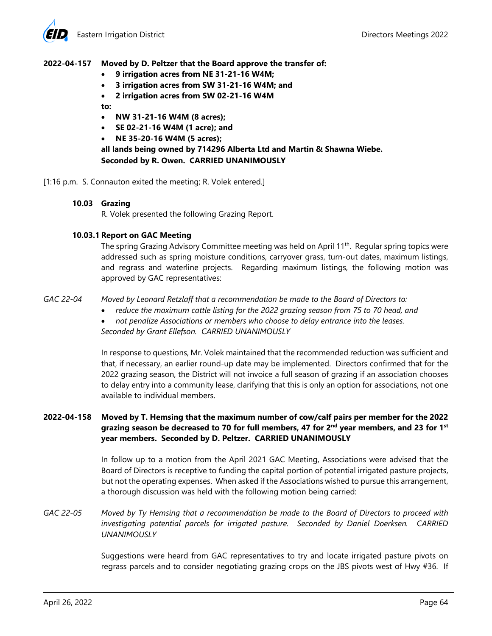#### **2022-04-157 Moved by D. Peltzer that the Board approve the transfer of:**

- **9 irrigation acres from NE 31-21-16 W4M;**
- **3 irrigation acres from SW 31-21-16 W4M; and**
- **2 irrigation acres from SW 02-21-16 W4M**

**to:** 

- **NW 31-21-16 W4M (8 acres);**
- **SE 02-21-16 W4M (1 acre); and**
- **NE 35-20-16 W4M (5 acres);**

**all lands being owned by 714296 Alberta Ltd and Martin & Shawna Wiebe. Seconded by R. Owen. CARRIED UNANIMOUSLY** 

[1:16 p.m. S. Connauton exited the meeting; R. Volek entered.]

#### **10.03 Grazing**

R. Volek presented the following Grazing Report.

#### **10.03.1 Report on GAC Meeting**

The spring Grazing Advisory Committee meeting was held on April 11<sup>th</sup>. Regular spring topics were addressed such as spring moisture conditions, carryover grass, turn-out dates, maximum listings, and regrass and waterline projects. Regarding maximum listings, the following motion was approved by GAC representatives:

*GAC 22-04 Moved by Leonard Retzlaff that a recommendation be made to the Board of Directors to:* 

- *reduce the maximum cattle listing for the 2022 grazing season from 75 to 70 head, and*
- *not penalize Associations or members who choose to delay entrance into the leases.*

*Seconded by Grant Ellefson. CARRIED UNANIMOUSLY* 

In response to questions, Mr. Volek maintained that the recommended reduction was sufficient and that, if necessary, an earlier round-up date may be implemented. Directors confirmed that for the 2022 grazing season, the District will not invoice a full season of grazing if an association chooses to delay entry into a community lease, clarifying that this is only an option for associations, not one available to individual members.

# **2022-04-158 Moved by T. Hemsing that the maximum number of cow/calf pairs per member for the 2022 grazing season be decreased to 70 for full members, 47 for 2nd year members, and 23 for 1st year members. Seconded by D. Peltzer. CARRIED UNANIMOUSLY**

In follow up to a motion from the April 2021 GAC Meeting, Associations were advised that the Board of Directors is receptive to funding the capital portion of potential irrigated pasture projects, but not the operating expenses. When asked if the Associations wished to pursue this arrangement, a thorough discussion was held with the following motion being carried:

# *GAC 22-05 Moved by Ty Hemsing that a recommendation be made to the Board of Directors to proceed with investigating potential parcels for irrigated pasture. Seconded by Daniel Doerksen. CARRIED UNANIMOUSLY*

Suggestions were heard from GAC representatives to try and locate irrigated pasture pivots on regrass parcels and to consider negotiating grazing crops on the JBS pivots west of Hwy #36. If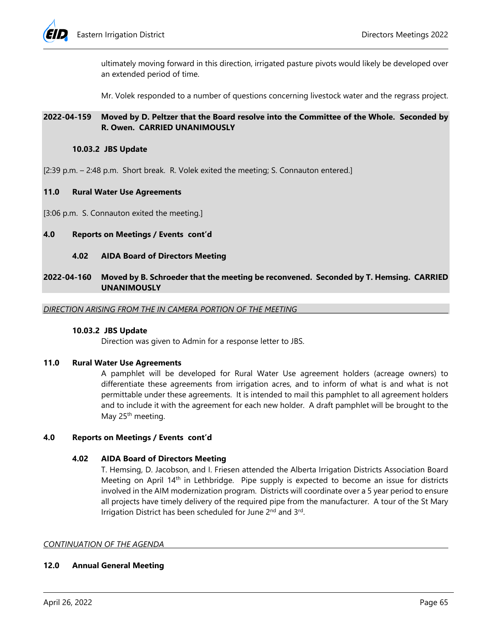

ultimately moving forward in this direction, irrigated pasture pivots would likely be developed over an extended period of time.

Mr. Volek responded to a number of questions concerning livestock water and the regrass project.

# **2022-04-159 Moved by D. Peltzer that the Board resolve into the Committee of the Whole. Seconded by R. Owen. CARRIED UNANIMOUSLY**

#### **10.03.2 JBS Update**

[2:39 p.m. – 2:48 p.m. Short break. R. Volek exited the meeting; S. Connauton entered.]

#### **11.0 Rural Water Use Agreements**

[3:06 p.m. S. Connauton exited the meeting.]

### **4.0 Reports on Meetings / Events cont'd**

#### **4.02 AIDA Board of Directors Meeting**

### **2022-04-160 Moved by B. Schroeder that the meeting be reconvened. Seconded by T. Hemsing. CARRIED UNANIMOUSLY**

*DIRECTION ARISING FROM THE IN CAMERA PORTION OF THE MEETING* 

#### **10.03.2 JBS Update**

Direction was given to Admin for a response letter to JBS.

#### **11.0 Rural Water Use Agreements**

A pamphlet will be developed for Rural Water Use agreement holders (acreage owners) to differentiate these agreements from irrigation acres, and to inform of what is and what is not permittable under these agreements. It is intended to mail this pamphlet to all agreement holders and to include it with the agreement for each new holder. A draft pamphlet will be brought to the May 25<sup>th</sup> meeting.

### **4.0 Reports on Meetings / Events cont'd**

### **4.02 AIDA Board of Directors Meeting**

T. Hemsing, D. Jacobson, and I. Friesen attended the Alberta Irrigation Districts Association Board Meeting on April 14<sup>th</sup> in Lethbridge. Pipe supply is expected to become an issue for districts involved in the AIM modernization program. Districts will coordinate over a 5 year period to ensure all projects have timely delivery of the required pipe from the manufacturer. A tour of the St Mary Irrigation District has been scheduled for June 2<sup>nd</sup> and 3<sup>rd</sup>.

#### *CONTINUATION OF THE AGENDA*

### **12.0 Annual General Meeting**